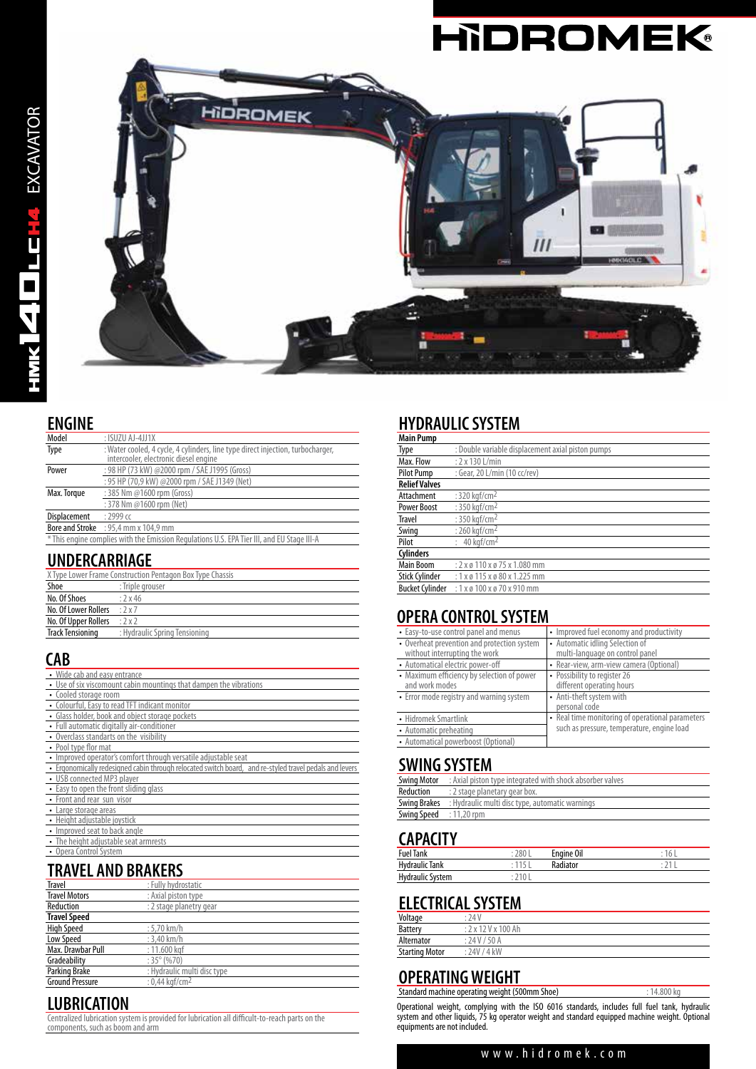# **HIDROMEK®**



#### **ENGINE**

| Model                                                                                      | $:$ ISUZU AJ-4JJ1X                                                                                                       |  |
|--------------------------------------------------------------------------------------------|--------------------------------------------------------------------------------------------------------------------------|--|
| Type                                                                                       | : Water cooled, 4 cycle, 4 cylinders, line type direct injection, turbocharger,<br>intercooler, electronic diesel engine |  |
| : 98 HP (73 kW) @2000 rpm / SAE J1995 (Gross)<br>Power                                     |                                                                                                                          |  |
|                                                                                            | : 95 HP (70,9 kW) @2000 rpm / SAE J1349 (Net)                                                                            |  |
| : 385 Nm @1600 rpm (Gross)<br>Max. Torque                                                  |                                                                                                                          |  |
|                                                                                            | : 378 Nm @1600 rpm (Net)                                                                                                 |  |
| Displacement                                                                               | $: 2999$ cc                                                                                                              |  |
|                                                                                            | <b>Bore and Stroke</b> : 95,4 mm x 104,9 mm                                                                              |  |
| * This engine complies with the Emission Regulations U.S. EPA Tier III, and EU Stage III-A |                                                                                                                          |  |

#### **UNDERCARRIAGE**

| X Type Lower Frame Construction Pentagon Box Type Chassis |                               |  |
|-----------------------------------------------------------|-------------------------------|--|
| Shoe                                                      | : Triple arouser              |  |
| No. Of Shoes                                              | :2x46                         |  |
| No. Of Lower Rollers                                      | .2x7                          |  |
| No. Of Upper Rollers $: 2 \times 2$                       |                               |  |
| <b>Track Tensioning</b>                                   | : Hydraulic Spring Tensioning |  |
|                                                           |                               |  |

#### **CAB**

| • Wide cab and easy entrance                                                                            |
|---------------------------------------------------------------------------------------------------------|
| • Use of six viscomount cabin mountings that dampen the vibrations                                      |
| • Cooled storage room                                                                                   |
| • Colourful, Easy to read TFT indicant monitor                                                          |
| • Glass holder, book and object storage pockets                                                         |
| • Full automatic digitally air-conditioner                                                              |
| • Overclass standarts on the visibility                                                                 |
| • Pool type flor mat                                                                                    |
| • Improved operator's comfort through versatile adjustable seat                                         |
| . Ergonomically redesigned cabin through relocated switch board, and re-styled travel pedals and levers |
| • USB connected MP3 player                                                                              |
| • Easy to open the front sliding glass                                                                  |
| • Front and rear sun visor                                                                              |
| • Large storage areas                                                                                   |
| • Height adjustable joystick                                                                            |
| • Improved seat to back angle                                                                           |
| • The height adjustable seat armrests                                                                   |
| • Opera Control System                                                                                  |

# **TRAVEL AND BRAKERS**

| <b>Travel</b>          | : Fully hydrostatic         |
|------------------------|-----------------------------|
| <b>Travel Motors</b>   | : Axial piston type         |
| Reduction              | : 2 stage planetry gear     |
| <b>Travel Speed</b>    |                             |
| <b>High Speed</b>      | $: 5.70$ km/h               |
| Low Speed              | $: 3.40$ km/h               |
| Max. Drawbar Pull      | : 11.600 kgf                |
| Gradeability           | $:35^{\circ}$ (%70)         |
| Parking Brake          | : Hydraulic multi disc type |
| <b>Ground Pressure</b> | : 0.44 kgf/cm <sup>2</sup>  |

#### **LUBRICATION**

Centralized lubrication system is provided for lubrication all difficult-to-reach parts on the components, such as boom and arm

# **HYDRAULIC SYSTEM**

| <b>Main Pump</b>       |                                                    |
|------------------------|----------------------------------------------------|
| Type                   | : Double variable displacement axial piston pumps  |
| Max. Flow              | $: 2 \times 130$ L/min                             |
| <b>Pilot Pump</b>      | : Gear, 20 L/min (10 cc/rev)                       |
| <b>Relief Valves</b>   |                                                    |
| Attachment             | : $320$ kgf/cm <sup>2</sup>                        |
| <b>Power Boost</b>     | : 350 kgf/cm <sup>2</sup>                          |
| <b>Travel</b>          | : 350 kaf/cm <sup>2</sup>                          |
| Swing                  | : 260 kgf/cm <sup>2</sup>                          |
| Pilot                  | $: 40$ kaf/cm <sup>2</sup>                         |
| <b>Cylinders</b>       |                                                    |
| <b>Main Boom</b>       | $: 2 \times 6$ 110 $\times 6$ 75 $\times$ 1.080 mm |
| <b>Stick Cylinder</b>  | : $1 \times 9$ 115 $\times 9$ 80 $\times$ 1.225 mm |
| <b>Bucket Cylinder</b> | $: 1x \times 100x \times 70x$ 910 mm               |

# **OPERA CONTROL SYSTEM**

| • Easy-to-use control panel and menus                                                                    | • Improved fuel economy and productivity                                              |
|----------------------------------------------------------------------------------------------------------|---------------------------------------------------------------------------------------|
| • Overheat prevention and protection system<br>without interrupting the work                             | • Automatic idling Selection of<br>multi-language on control panel                    |
| • Automatical electric power-off                                                                         | • Rear-view, arm-view camera (Optional)                                               |
| • Maximum efficiency by selection of power<br>and work modes<br>• Error mode registry and warning system | • Possibility to register 26<br>different operating hours<br>• Anti-theft system with |
|                                                                                                          | personal code                                                                         |
| • Hidromek Smartlink                                                                                     | • Real time monitoring of operational parameters                                      |
| • Automatic preheating                                                                                   | such as pressure, temperature, engine load                                            |
| • Automatical powerboost (Optional)                                                                      |                                                                                       |

#### **SWING SYSTEM**

| : Axial piston type integrated with shock absorber valves           |
|---------------------------------------------------------------------|
| : 2 stage planetary gear box.                                       |
| <b>Swing Brakes</b> : Hydraulic multi disc type, automatic warnings |
| Swing Speed : 11,20 rpm                                             |
|                                                                     |

## **CAPACITY**

| .                     |                 |            |  |
|-----------------------|-----------------|------------|--|
| <b>Fuel Tank</b>      | 280             | Engine Oil |  |
| <b>Hydraulic Tank</b> | 11 <sup>°</sup> | Radiator   |  |
| Hydraulic System      |                 |            |  |

## **ELECTRICAL SYSTEM**

| Voltage               | :74V                       |
|-----------------------|----------------------------|
| <b>Battery</b>        | $: 2 \times 12$ V x 100 Ah |
| Alternator            | : 24V / 50A                |
| <b>Starting Motor</b> | : 24V / 4kW                |
|                       |                            |

#### **OPERATING WEIGHT** Standard machine operating weight (500mm Shoe) : 14.800 kg

Operational weight, complying with the ISO 6016 standards, includes full fuel tank, hydraulic system and other liquids, 75 kg operator weight and standard equipped machine weight. Optional equipments are not included.

#### www.hidromek.com